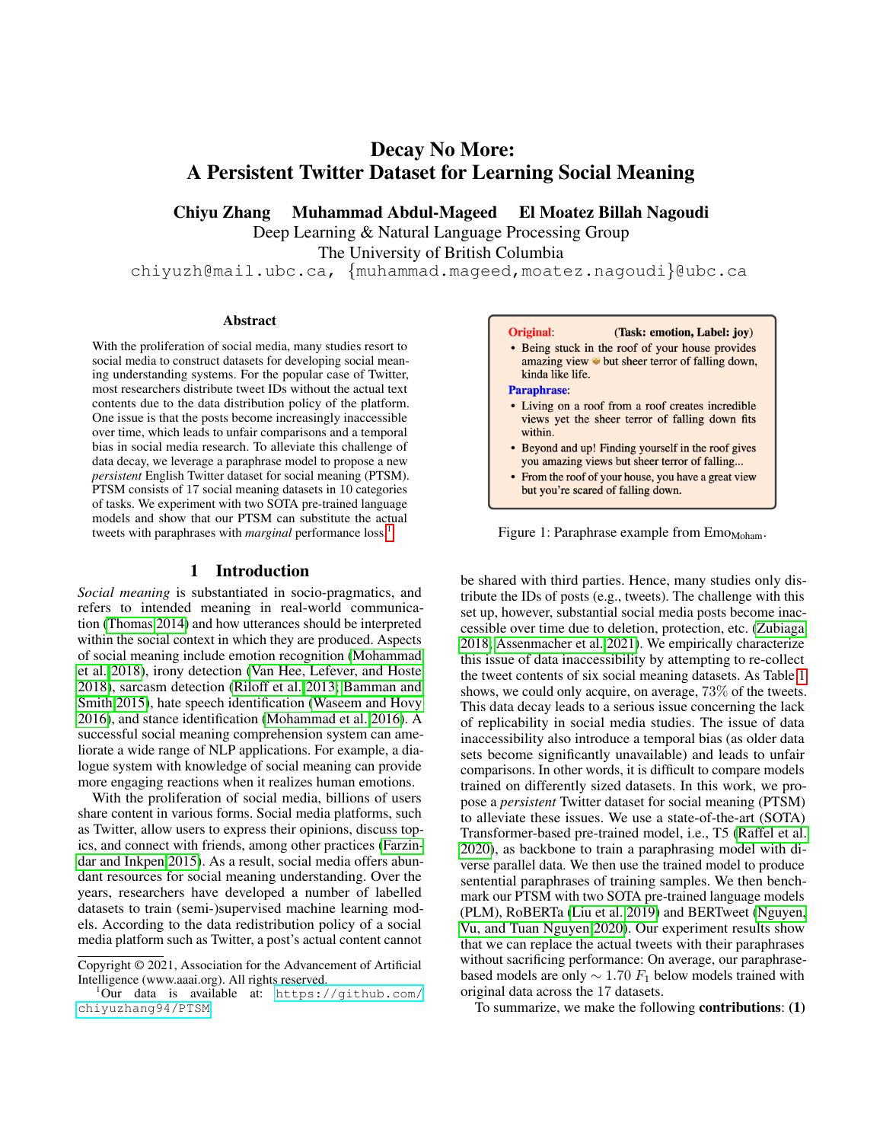# Decay No More: A Persistent Twitter Dataset for Learning Social Meaning

Chiyu Zhang Muhammad Abdul-Mageed El Moatez Billah Nagoudi

Deep Learning & Natural Language Processing Group

The University of British Columbia

chiyuzh@mail.ubc.ca, {muhammad.mageed,moatez.nagoudi}@ubc.ca

#### Abstract

With the proliferation of social media, many studies resort to social media to construct datasets for developing social meaning understanding systems. For the popular case of Twitter, most researchers distribute tweet IDs without the actual text contents due to the data distribution policy of the platform. One issue is that the posts become increasingly inaccessible over time, which leads to unfair comparisons and a temporal bias in social media research. To alleviate this challenge of data decay, we leverage a paraphrase model to propose a new *persistent* English Twitter dataset for social meaning (PTSM). PTSM consists of 17 social meaning datasets in 10 categories of tasks. We experiment with two SOTA pre-trained language models and show that our PTSM can substitute the actual tweets with paraphrases with *marginal* performance loss.<sup>[1](#page-0-0)</sup>

#### 1 Introduction

*Social meaning* is substantiated in socio-pragmatics, and refers to intended meaning in real-world communication [\(Thomas 2014\)](#page-5-0) and how utterances should be interpreted within the social context in which they are produced. Aspects of social meaning include emotion recognition [\(Mohammad](#page-5-1) [et al. 2018\)](#page-5-1), irony detection [\(Van Hee, Lefever, and Hoste](#page-5-2) [2018\)](#page-5-2), sarcasm detection [\(Riloff et al. 2013;](#page-5-3) [Bamman and](#page-5-4) [Smith 2015\)](#page-5-4), hate speech identification [\(Waseem and Hovy](#page-5-5) [2016\)](#page-5-5), and stance identification [\(Mohammad et al. 2016\)](#page-5-6). A successful social meaning comprehension system can ameliorate a wide range of NLP applications. For example, a dialogue system with knowledge of social meaning can provide more engaging reactions when it realizes human emotions.

With the proliferation of social media, billions of users share content in various forms. Social media platforms, such as Twitter, allow users to express their opinions, discuss topics, and connect with friends, among other practices [\(Farzin](#page-5-7)[dar and Inkpen 2015\)](#page-5-7). As a result, social media offers abundant resources for social meaning understanding. Over the years, researchers have developed a number of labelled datasets to train (semi-)supervised machine learning models. According to the data redistribution policy of a social media platform such as Twitter, a post's actual content cannot

#### <span id="page-0-1"></span>(Task: emotion, Label: joy) **Original**

• Being stuck in the roof of your house provides amazing view  $\bullet$  but sheer terror of falling down, kinda like life.

#### Paraphrase:

- Living on a roof from a roof creates incredible views yet the sheer terror of falling down fits within.
- Beyond and up! Finding yourself in the roof gives you amazing views but sheer terror of falling...
- From the roof of your house, you have a great view but you're scared of falling down.

Figure 1: Paraphrase example from  $Emo<sub>Moham</sub>$ .

be shared with third parties. Hence, many studies only distribute the IDs of posts (e.g., tweets). The challenge with this set up, however, substantial social media posts become inaccessible over time due to deletion, protection, etc. [\(Zubiaga](#page-5-8) [2018;](#page-5-8) [Assenmacher et al. 2021\)](#page-5-9). We empirically characterize this issue of data inaccessibility by attempting to re-collect the tweet contents of six social meaning datasets. As Table [1](#page-1-0) shows, we could only acquire, on average, 73% of the tweets. This data decay leads to a serious issue concerning the lack of replicability in social media studies. The issue of data inaccessibility also introduce a temporal bias (as older data sets become significantly unavailable) and leads to unfair comparisons. In other words, it is difficult to compare models trained on differently sized datasets. In this work, we propose a *persistent* Twitter dataset for social meaning (PTSM) to alleviate these issues. We use a state-of-the-art (SOTA) Transformer-based pre-trained model, i.e., T5 [\(Raffel et al.](#page-5-10) [2020\)](#page-5-10), as backbone to train a paraphrasing model with diverse parallel data. We then use the trained model to produce sentential paraphrases of training samples. We then benchmark our PTSM with two SOTA pre-trained language models (PLM), RoBERTa [\(Liu et al. 2019\)](#page-5-11) and BERTweet [\(Nguyen,](#page-5-12) [Vu, and Tuan Nguyen 2020\)](#page-5-12). Our experiment results show that we can replace the actual tweets with their paraphrases without sacrificing performance: On average, our paraphrasebased models are only  $\sim 1.70 F_1$  below models trained with original data across the 17 datasets.

To summarize, we make the following contributions: (1)

Copyright © 2021, Association for the Advancement of Artificial Intelligence (www.aaai.org). All rights reserved.

<span id="page-0-0"></span><sup>1</sup>Our data is available at: [https://github.com/](https://github.com/chiyuzhang94/PTSM) [chiyuzhang94/PTSM](https://github.com/chiyuzhang94/PTSM).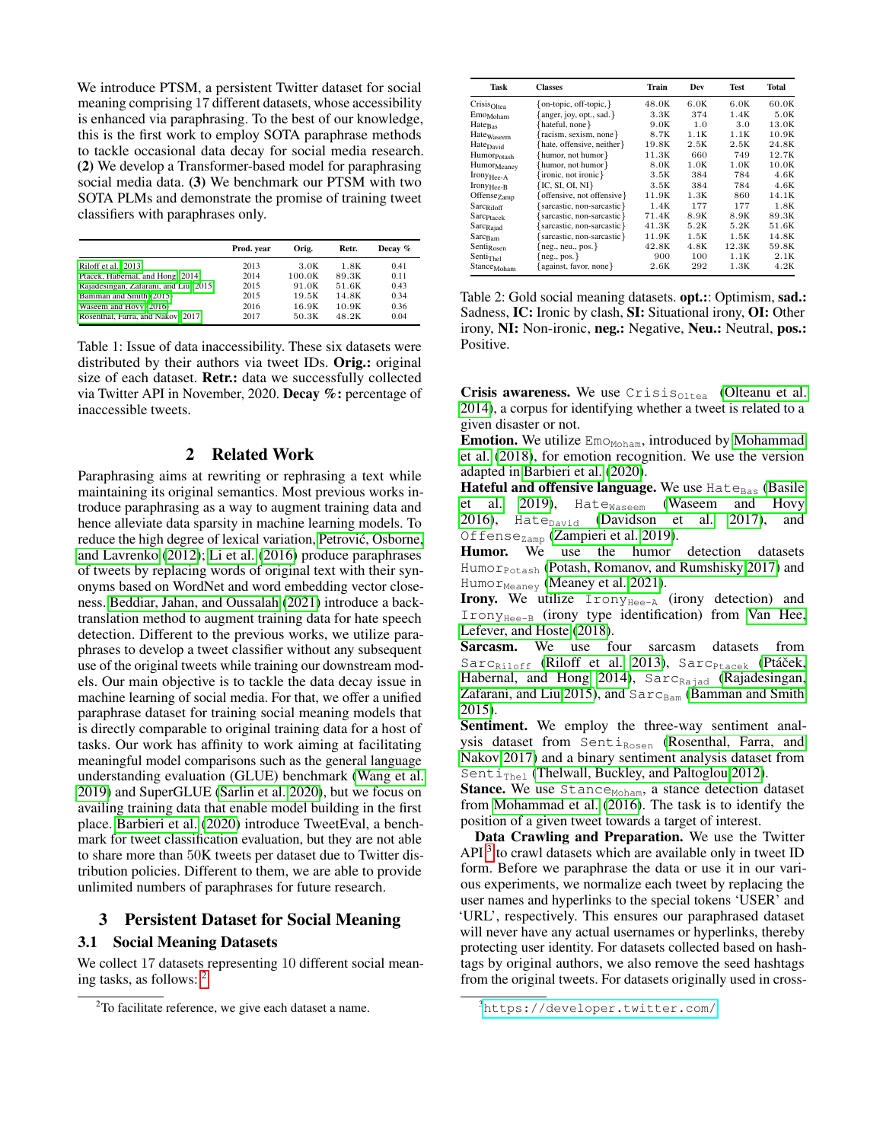We introduce PTSM, a persistent Twitter dataset for social meaning comprising 17 different datasets, whose accessibility is enhanced via paraphrasing. To the best of our knowledge, this is the first work to employ SOTA paraphrase methods to tackle occasional data decay for social media research. (2) We develop a Transformer-based model for paraphrasing social media data. (3) We benchmark our PTSM with two SOTA PLMs and demonstrate the promise of training tweet classifiers with paraphrases only.

<span id="page-1-0"></span>

|                                        | Prod. year | Orig.  | Retr. | Decay % |
|----------------------------------------|------------|--------|-------|---------|
| Riloff et al. (2013)                   | 2013       | 3.0K   | 1.8K  | 0.41    |
| Ptáček, Habernal, and Hong (2014)      | 2014       | 100.0K | 89.3K | 0.11    |
| Rajadesingan, Zafarani, and Liu (2015) | 2015       | 91.0K  | 51.6K | 0.43    |
| Bamman and Smith (2015)                | 2015       | 19.5K  | 14.8K | 0.34    |
| Waseem and Hovy (2016)                 | 2016       | 16.9K  | 10.9K | 0.36    |
| Rosenthal, Farra, and Nakov (2017)     | 2017       | 50.3K  | 48.2K | 0.04    |

Table 1: Issue of data inaccessibility. These six datasets were distributed by their authors via tweet IDs. Orig.: original size of each dataset. Retr.: data we successfully collected via Twitter API in November, 2020. Decay %: percentage of inaccessible tweets.

# 2 Related Work

Paraphrasing aims at rewriting or rephrasing a text while maintaining its original semantics. Most previous works introduce paraphrasing as a way to augment training data and hence alleviate data sparsity in machine learning models. To reduce the high degree of lexical variation, Petrović, Osborne, [and Lavrenko](#page-5-16) [\(2012\)](#page-5-16); [Li et al.](#page-5-17) [\(2016\)](#page-5-17) produce paraphrases of tweets by replacing words of original text with their synonyms based on WordNet and word embedding vector closeness. [Beddiar, Jahan, and Oussalah](#page-5-18) [\(2021\)](#page-5-18) introduce a backtranslation method to augment training data for hate speech detection. Different to the previous works, we utilize paraphrases to develop a tweet classifier without any subsequent use of the original tweets while training our downstream models. Our main objective is to tackle the data decay issue in machine learning of social media. For that, we offer a unified paraphrase dataset for training social meaning models that is directly comparable to original training data for a host of tasks. Our work has affinity to work aiming at facilitating meaningful model comparisons such as the general language understanding evaluation (GLUE) benchmark [\(Wang et al.](#page-5-19) [2019\)](#page-5-19) and SuperGLUE [\(Sarlin et al. 2020\)](#page-5-20), but we focus on availing training data that enable model building in the first place. [Barbieri et al.](#page-5-21) [\(2020\)](#page-5-21) introduce TweetEval, a benchmark for tweet classification evaluation, but they are not able to share more than 50K tweets per dataset due to Twitter distribution policies. Different to them, we are able to provide unlimited numbers of paraphrases for future research.

### 3 Persistent Dataset for Social Meaning

## 3.1 Social Meaning Datasets

We collect 17 datasets representing 10 different social meaning tasks, as follows: [2](#page-1-1)

<span id="page-1-3"></span>

| Task                    | <b>Classes</b>                   | Train | Dev  | <b>Test</b> | Total |
|-------------------------|----------------------------------|-------|------|-------------|-------|
| Crisis <sub>Oltea</sub> | {on-topic, off-topic, }          | 48.0K | 6.0K | 6.0K        | 60.0K |
| Emo <sub>Moham</sub>    | $\{$ anger, joy, opt., sad. $\}$ | 3.3K  | 374  | 1.4K        | 5.0K  |
| $Hate_{Bas}$            | {hateful, none}                  | 9.0K  | 1.0  | 3.0         | 13.0K |
| Hatewaseem              | {racism, sexism, none}           | 8.7K  | 1.1K | 1.1K        | 10.9K |
| Hate <sub>David</sub>   | {hate, offensive, neither}       | 19.8K | 2.5K | 2.5K        | 24.8K |
| Humor <sub>Potash</sub> | {humor, not humor}               | 11.3K | 660  | 749         | 12.7K |
| Humor <sub>Meaney</sub> | {humor, not humor}               | 8.0K  | 1.0K | 1.0K        | 10.0K |
| Irony <sub>Hee-A</sub>  | {ironic, not ironic}             | 3.5K  | 384  | 784         | 4.6K  |
| Irony <sub>Hee-B</sub>  | ${IC, SI, OL, NI}$               | 3.5K  | 384  | 784         | 4.6K  |
| Offense <sub>Zamp</sub> | {offensive, not offensive}       | 11.9K | 1.3K | 860         | 14.1K |
| Sarc <sub>Riloff</sub>  | {sarcastic, non-sarcastic}       | 1.4K  | 177  | 177         | 1.8K  |
| Sarc <sub>Ptacek</sub>  | sarcastic, non-sarcastic         | 71.4K | 8.9K | 8.9K        | 89.3K |
| Sarc <sub>Rajad</sub>   | {sarcastic, non-sarcastic}       | 41.3K | 5.2K | 5.2K        | 51.6K |
| Sarc <sub>Bam</sub>     | sarcastic, non-sarcastic}        | 11.9K | 1.5K | 1.5K        | 14.8K |
| Senti <sub>Rosen</sub>  | ${neg., neu., pos.}$             | 42.8K | 4.8K | 12.3K       | 59.8K |
| Senti <sub>Thel</sub>   | $\{neg, pos.\}$                  | 900   | 100  | 1.1K        | 2.1K  |
| Stance <sub>Moham</sub> | {against, favor, none}           | 2.6K  | 292  | 1.3K        | 4.2K  |

Table 2: Gold social meaning datasets. opt.:: Optimism, sad.: Sadness, IC: Ironic by clash, SI: Situational irony, OI: Other irony, NI: Non-ironic, neg.: Negative, Neu.: Neutral, pos.: Positive.

Crisis awareness. We use  $Crisis_{Oltea}$  [\(Olteanu et al.](#page-5-22) [2014\)](#page-5-22), a corpus for identifying whether a tweet is related to a given disaster or not.

**Emotion.** We utilize  $\text{Em}$ <sub>OMoham</sub>, introduced by [Mohammad](#page-5-1) [et al.](#page-5-1) [\(2018\)](#page-5-1), for emotion recognition. We use the version adapted in [Barbieri et al.](#page-5-21) [\(2020\)](#page-5-21).

Hateful and offensive language. We use  $Hate_{\text{Bas}}$  [\(Basile](#page-5-23) [et al. 2019\)](#page-5-23), Hate<sub>Waseem</sub> [\(Waseem and Hovy](#page-5-5) [2016\)](#page-5-5), Hate $_{\text{David}}$  [\(Davidson et al. 2017\)](#page-5-24), and Offense<sub>Zamp</sub> [\(Zampieri et al. 2019\)](#page-5-25).

Humor. We use the humor detection datasets HumorPotash [\(Potash, Romanov, and Rumshisky 2017\)](#page-5-26) and Humo $r_{\text{Measure}}$  [\(Meaney et al. 2021\)](#page-5-27).

**Irony.** We utilize  $Irony_{Hee-A}$  (irony detection) and  $Irony_{\text{Hee-B}}$  (irony type identification) from [Van Hee,](#page-5-2) [Lefever, and Hoste](#page-5-2) [\(2018\)](#page-5-2).

Sarcasm. We use four sarcasm datasets from Sarc<sub>Riloff</sub> [\(Riloff et al. 2013\)](#page-5-3), Sarc<sub>Ptacek</sub> (Ptáček, [Habernal, and Hong 2014\)](#page-5-13),  $Sarc_{\text{Rajad}}$  [\(Rajadesingan,](#page-5-14) [Zafarani, and Liu 2015\)](#page-5-14), and  $Sarc_{\text{Bam}}$  [\(Bamman and Smith](#page-5-4) [2015\)](#page-5-4).

Sentiment. We employ the three-way sentiment analysis dataset from  $Senti_{Rosen}$  [\(Rosenthal, Farra, and](#page-5-15) [Nakov 2017\)](#page-5-15) and a binary sentiment analysis dataset from Senti<sub>Thel</sub> [\(Thelwall, Buckley, and Paltoglou 2012\)](#page-5-28).

Stance. We use Stance<sub>Moham</sub>, a stance detection dataset from [Mohammad et al.](#page-5-6) [\(2016\)](#page-5-6). The task is to identify the position of a given tweet towards a target of interest.

Data Crawling and Preparation. We use the Twitter API<sup>[3](#page-1-2)</sup> to crawl datasets which are available only in tweet ID form. Before we paraphrase the data or use it in our various experiments, we normalize each tweet by replacing the user names and hyperlinks to the special tokens 'USER' and 'URL', respectively. This ensures our paraphrased dataset will never have any actual usernames or hyperlinks, thereby protecting user identity. For datasets collected based on hashtags by original authors, we also remove the seed hashtags from the original tweets. For datasets originally used in cross-

<span id="page-1-1"></span><sup>&</sup>lt;sup>2</sup>To facilitate reference, we give each dataset a name.

<span id="page-1-2"></span><sup>3</sup><https://developer.twitter.com/>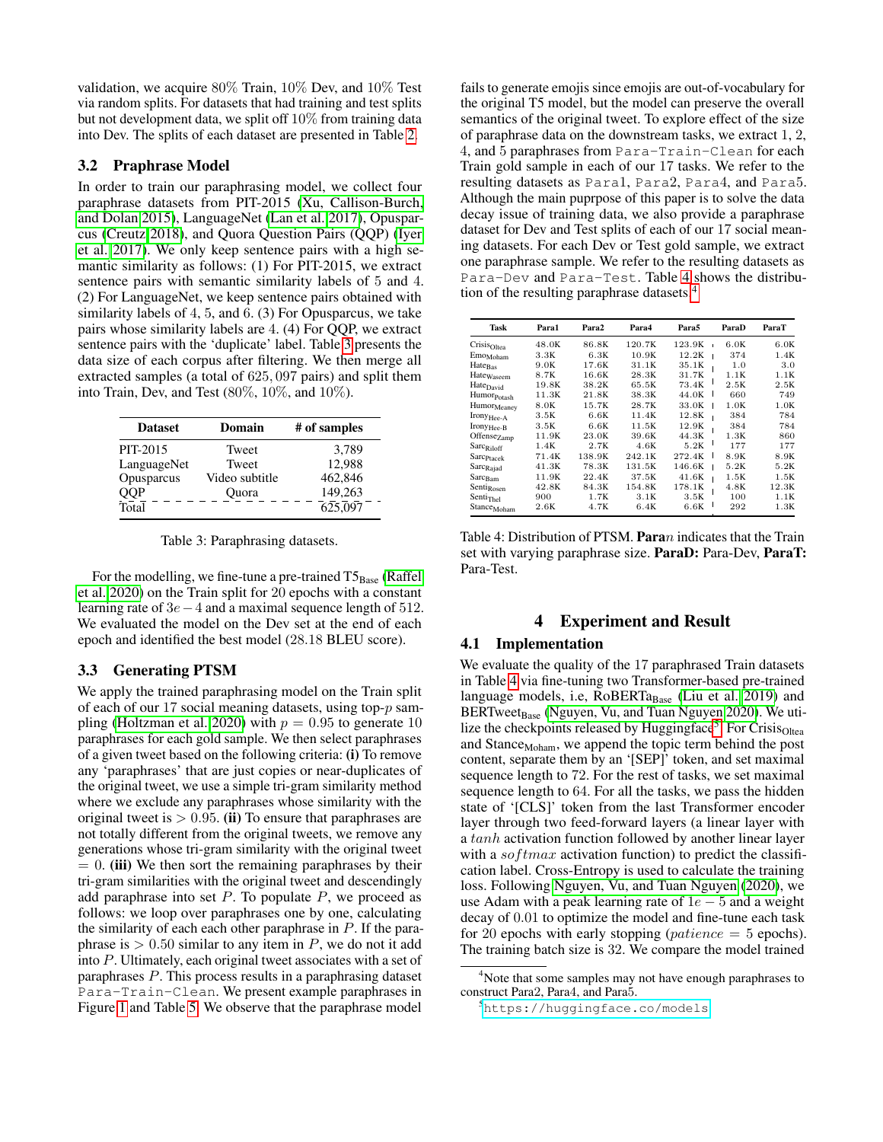validation, we acquire 80% Train, 10% Dev, and 10% Test via random splits. For datasets that had training and test splits but not development data, we split off 10% from training data into Dev. The splits of each dataset are presented in Table [2.](#page-1-3)

#### 3.2 Praphrase Model

In order to train our paraphrasing model, we collect four paraphrase datasets from PIT-2015 [\(Xu, Callison-Burch,](#page-5-29) [and Dolan 2015\)](#page-5-29), LanguageNet [\(Lan et al. 2017\)](#page-5-30), Opusparcus [\(Creutz 2018\)](#page-5-31), and Quora Question Pairs (QQP) [\(Iyer](#page-5-32) [et al. 2017\)](#page-5-32). We only keep sentence pairs with a high semantic similarity as follows: (1) For PIT-2015, we extract sentence pairs with semantic similarity labels of 5 and 4. (2) For LanguageNet, we keep sentence pairs obtained with similarity labels of 4, 5, and 6. (3) For Opusparcus, we take pairs whose similarity labels are 4. (4) For QQP, we extract sentence pairs with the 'duplicate' label. Table [3](#page-2-0) presents the data size of each corpus after filtering. We then merge all extracted samples (a total of 625, 097 pairs) and split them into Train, Dev, and Test (80%, 10%, and 10%).

<span id="page-2-0"></span>

| <b>Dataset</b> | Domain         | # of samples |
|----------------|----------------|--------------|
| PIT-2015       | Tweet          | 3.789        |
| LanguageNet    | Tweet          | 12,988       |
| Opusparcus     | Video subtitle | 462,846      |
| QQP            | Ouora          | 149,263      |
| Total          |                | 625,097      |

Table 3: Paraphrasing datasets.

For the modelling, we fine-tune a pre-trained  $T5_{Base}$  [\(Raffel](#page-5-10) [et al. 2020\)](#page-5-10) on the Train split for 20 epochs with a constant learning rate of 3e−4 and a maximal sequence length of 512. We evaluated the model on the Dev set at the end of each epoch and identified the best model (28.18 BLEU score).

### 3.3 Generating PTSM

We apply the trained paraphrasing model on the Train split of each of our 17 social meaning datasets, using top-p sam-pling [\(Holtzman et al. 2020\)](#page-5-33) with  $p = 0.95$  to generate 10 paraphrases for each gold sample. We then select paraphrases of a given tweet based on the following criteria: (i) To remove any 'paraphrases' that are just copies or near-duplicates of the original tweet, we use a simple tri-gram similarity method where we exclude any paraphrases whose similarity with the original tweet is  $> 0.95$ . (ii) To ensure that paraphrases are not totally different from the original tweets, we remove any generations whose tri-gram similarity with the original tweet  $= 0$ . (iii) We then sort the remaining paraphrases by their tri-gram similarities with the original tweet and descendingly add paraphrase into set  $P$ . To populate  $P$ , we proceed as follows: we loop over paraphrases one by one, calculating the similarity of each each other paraphrase in  $P$ . If the paraphrase is  $> 0.50$  similar to any item in P, we do not it add into P. Ultimately, each original tweet associates with a set of paraphrases P. This process results in a paraphrasing dataset Para-Train-Clean. We present example paraphrases in Figure [1](#page-0-1) and Table [5.](#page-3-0) We observe that the paraphrase model

fails to generate emojis since emojis are out-of-vocabulary for the original T5 model, but the model can preserve the overall semantics of the original tweet. To explore effect of the size of paraphrase data on the downstream tasks, we extract 1, 2, 4, and 5 paraphrases from Para-Train-Clean for each Train gold sample in each of our 17 tasks. We refer to the resulting datasets as Para1, Para2, Para4, and Para5. Although the main puprpose of this paper is to solve the data decay issue of training data, we also provide a paraphrase dataset for Dev and Test splits of each of our 17 social meaning datasets. For each Dev or Test gold sample, we extract one paraphrase sample. We refer to the resulting datasets as Para-Dev and Para-Test. Table [4](#page-2-1) shows the distribution of the resulting paraphrase datasets.[4](#page-2-2)

<span id="page-2-1"></span>

| Task                    | Para1 | Para2  | Para4  | Para5        | ParaD | ParaT |
|-------------------------|-------|--------|--------|--------------|-------|-------|
| Crisis <sub>Oltea</sub> | 48.0K | 86.8K  | 120.7K | 123.9K<br>í. | 6.0K  | 6.0K  |
| Emo <sub>Moham</sub>    | 3.3K  | 6.3K   | 10.9K  | 12.2K        | 374   | 1.4K  |
| Hate <sub>Bas</sub>     | 9.0K  | 17.6K  | 31.1K  | 35.1K        | 1.0   | 3.0   |
| Hatewaseem              | 8.7K  | 16.6K  | 28.3K  | 31.7K        | 1.1K  | 1.1K  |
| Hate <sub>David</sub>   | 19.8K | 38.2K  | 65.5K  | 73.4K        | 2.5K  | 2.5K  |
| Humor <sub>Potash</sub> | 11.3K | 21.8K  | 38.3K  | 44.0K        | 660   | 749   |
| Humor <sub>Meaney</sub> | 8.0K  | 15.7K  | 28.7K  | 33.0K        | 1.0K  | 1.0K  |
| $Irony_{Hee-A}$         | 3.5K  | 6.6K   | 11.4K  | 12.8K        | 384   | 784   |
| Irony <sub>Hee-B</sub>  | 3.5K  | 6.6K   | 11.5K  | 12.9K        | 384   | 784   |
| Offense <sub>Zamp</sub> | 11.9K | 23.0K  | 39.6K  | 44.3K        | 1.3K  | 860   |
| Sarc <sub>Riloff</sub>  | 1.4K  | 2.7K   | 4.6K   | 5.2K         | 177   | 177   |
| Sarc <sub>Ptacek</sub>  | 71.4K | 138.9K | 242.1K | 272.4K       | 8.9K  | 8.9K  |
| Sarc <sub>Rajad</sub>   | 41.3K | 78.3K  | 131.5K | 146.6K       | 5.2K  | 5.2K  |
| $Sarc_{Bam}$            | 11.9K | 22.4K  | 37.5K  | 41.6K        | 1.5K  | 1.5K  |
| Senti <sub>Rosen</sub>  | 42.8K | 84.3K  | 154.8K | 178.1K       | 4.8K  | 12.3K |
| Senti <sub>The1</sub>   | 900   | 1.7K   | 3.1K   | 3.5K         | 100   | 1.1K  |
| Stance <sub>Moham</sub> | 2.6K  | 4.7K   | 6.4K   | 6.6K         | 292   | 1.3K  |

Table 4: Distribution of PTSM. Paran indicates that the Train set with varying paraphrase size. ParaD: Para-Dev, ParaT: Para-Test.

### 4 Experiment and Result

#### 4.1 Implementation

We evaluate the quality of the 17 paraphrased Train datasets in Table [4](#page-2-1) via fine-tuning two Transformer-based pre-trained language models, i.e,  $RoBERTa<sub>Base</sub>$  [\(Liu et al. 2019\)](#page-5-11) and BERTweet<sub>Base</sub> [\(Nguyen, Vu, and Tuan Nguyen 2020\)](#page-5-12). We uti-lize the checkpoints released by Huggingface<sup>[5](#page-2-3)</sup>. For Crisis<sub>Oltea</sub> and Stance<sub>Moham</sub>, we append the topic term behind the post content, separate them by an '[SEP]' token, and set maximal sequence length to 72. For the rest of tasks, we set maximal sequence length to 64. For all the tasks, we pass the hidden state of '[CLS]' token from the last Transformer encoder layer through two feed-forward layers (a linear layer with a tanh activation function followed by another linear layer with a  $softmax$  activation function) to predict the classification label. Cross-Entropy is used to calculate the training loss. Following [Nguyen, Vu, and Tuan Nguyen](#page-5-12) [\(2020\)](#page-5-12), we use Adam with a peak learning rate of  $1e - 5$  and a weight decay of 0.01 to optimize the model and fine-tune each task for 20 epochs with early stopping ( $\textit{patience} = 5$  epochs). The training batch size is 32. We compare the model trained

<span id="page-2-2"></span><sup>&</sup>lt;sup>4</sup>Note that some samples may not have enough paraphrases to construct Para2, Para4, and Para5.

<span id="page-2-3"></span><sup>5</sup><https://huggingface.co/models>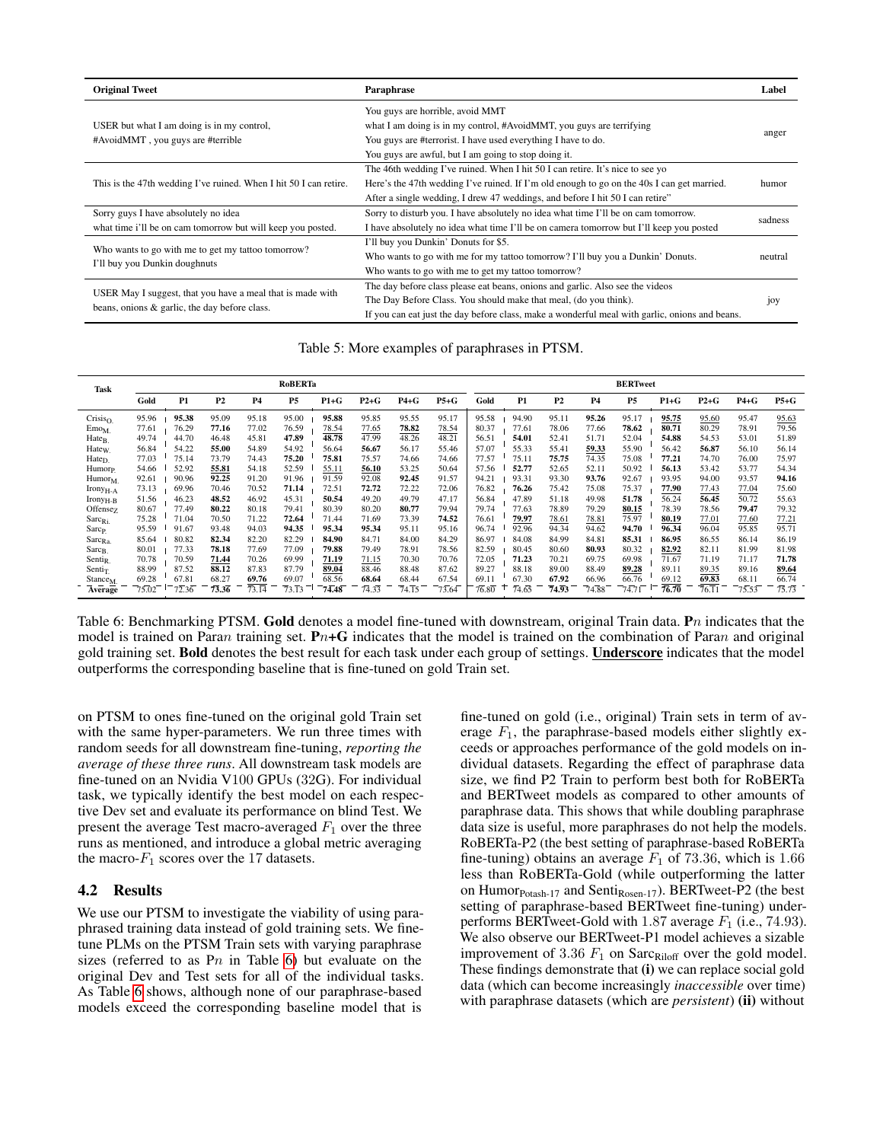<span id="page-3-0"></span>

| <b>Original Tweet</b>                                                           | Paraphrase                                                                                                                                                                                                                                          | Label   |  |  |
|---------------------------------------------------------------------------------|-----------------------------------------------------------------------------------------------------------------------------------------------------------------------------------------------------------------------------------------------------|---------|--|--|
|                                                                                 | You guys are horrible, avoid MMT<br>what I am doing is in my control, #AvoidMMT, you guys are terrifying                                                                                                                                            |         |  |  |
| USER but what I am doing is in my control,<br>#AvoidMMT, you guys are #terrible | You guys are #terrorist. I have used everything I have to do.                                                                                                                                                                                       |         |  |  |
|                                                                                 | You guys are awful, but I am going to stop doing it.                                                                                                                                                                                                |         |  |  |
|                                                                                 | The 46th wedding I've ruined. When I hit 50 I can retire. It's nice to see yo                                                                                                                                                                       |         |  |  |
| This is the 47th wedding I've ruined. When I hit 50 I can retire.               | Here's the 47th wedding I've ruined. If I'm old enough to go on the 40s I can get married.                                                                                                                                                          |         |  |  |
|                                                                                 | After a single wedding, I drew 47 weddings, and before I hit 50 I can retire"                                                                                                                                                                       |         |  |  |
| Sorry guys I have absolutely no idea                                            | Sorry to disturb you. I have absolutely no idea what time I'll be on cam tomorrow.                                                                                                                                                                  | sadness |  |  |
| what time i'll be on cam tomorrow but will keep you posted.                     | I have absolutely no idea what time I'll be on camera tomorrow but I'll keep you posted                                                                                                                                                             |         |  |  |
|                                                                                 | I'll buy you Dunkin' Donuts for \$5.                                                                                                                                                                                                                |         |  |  |
| Who wants to go with me to get my tattoo tomorrow?                              | Who wants to go with me for my tattoo tomorrow? I'll buy you a Dunkin' Donuts.                                                                                                                                                                      | neutral |  |  |
| I'll buy you Dunkin doughnuts                                                   | Who wants to go with me to get my tattoo tomorrow?                                                                                                                                                                                                  |         |  |  |
| USER May I suggest, that you have a meal that is made with                      | The day before class please eat beans, onions and garlic. Also see the videos<br>The Day Before Class. You should make that meal, (do you think).<br>If you can eat just the day before class, make a wonderful meal with garlic, onions and beans. |         |  |  |
|                                                                                 |                                                                                                                                                                                                                                                     |         |  |  |
| beans, onions & garlic, the day before class.                                   |                                                                                                                                                                                                                                                     |         |  |  |

Table 5: More examples of paraphrases in PTSM.

<span id="page-3-1"></span>

| <b>Task</b>          | <b>RoBERTa</b> |                |                |                    |                    |        |        | <b>BERTweet</b> |        |       |                |                |           |                |                |                    |        |                |
|----------------------|----------------|----------------|----------------|--------------------|--------------------|--------|--------|-----------------|--------|-------|----------------|----------------|-----------|----------------|----------------|--------------------|--------|----------------|
|                      | Gold           | P <sub>1</sub> | P <sub>2</sub> | <b>P4</b>          | P <sub>5</sub>     | $P1+G$ | $P2+G$ | $P4+G$          | $P5+G$ | Gold  | P1             | P <sub>2</sub> | <b>P4</b> | P <sub>5</sub> | $P1+G$         | $P2 + G$           | $P4+G$ | $P5+G$         |
| Crisis <sub>O</sub>  | 95.96          | 95.38          | 95.09          | 95.18              | 95.00              | 95.88  | 95.85  | 95.55           | 95.17  | 95.58 | 94.90          | 95.11          | 95.26     | 95.17          | 95.75          | 95.60              | 95.47  | 95.63          |
| $E$ mo <sub>M</sub>  | 77.61          | 76.29          | 77.16          | 77.02              | 76.59              | 78.54  | 77.65  | 78.82           | 78.54  | 80.37 | 77.61          | 78.06          | 77.66     | 78.62          | 80.71          | 80.29              | 78.91  | 79.56          |
| Hate <sub>B</sub>    | 49.74          | 44.70          | 46.48          | 45.81              | 47.89              | 48.78  | 47.99  | 48.26           | 48.21  | 56.51 | 54.01          | 52.41          | 51.71     | 52.04          | 54.88          | 54.53              | 53.01  | 51.89          |
| Hate <sub>W</sub>    | 56.84          | 54.22          | 55.00          | 54.89              | 54.92              | 56.64  | 56.67  | 56.17           | 55.46  | 57.07 | 55.33          | 55.41          | 59.33     | 55.90          | 56.42          | 56.87              | 56.10  | 56.14          |
| Hate <sub>D</sub>    | 77.03          | 75.14          | 73.79          | 74.43              | 75.20              | 75.81  | 75.57  | 74.66           | 74.66  | 77.57 | 75.11          | 75.75          | 74.35     | 75.08          | 77.21          | 74.70              | 76.00  | 75.97          |
| Humor <sub>P.</sub>  | 54.66          | 52.92          | 55.81          | 54.18              | 52.59              | 55.11  | 56.10  | 53.25           | 50.64  | 57.56 | 52.77          | 52.65          | 52.11     | 50.92          | 56.13          | 53.42              | 53.77  | 54.34          |
| $H$ umor $M$         | 92.61          | 90.96          | 92.25          | 91.20              | 91.96              | 91.59  | 92.08  | 92.45           | 91.57  | 94.21 | 93.31          | 93.30          | 93.76     | 92.67          | 93.95          | 94.00              | 93.57  | 94.16          |
| $Irony_{H-A}$        | 73.13          | 69.96          | 70.46          | 70.52              | 71.14              | 72.51  | 72.72  | 72.22           | 72.06  | 76.82 | 76.26          | 75.42          | 75.08     | 75.37          | 77.90          | 77.43              | 77.04  | 75.60          |
| $Irony_{H-B}$        | 51.56          | 46.23          | 48.52          | 46.92              | 45.31              | 50.54  | 49.20  | 49.79           | 47.17  | 56.84 | 47.89          | 51.18          | 49.98     | 51.78          | 56.24          | 56.45              | 50.72  | 55.63          |
| Offense <sub>Z</sub> | 80.67          | 77.49          | 80.22          | 80.18              | 79.41              | 80.39  | 80.20  | 80.77           | 79.94  | 79.74 | 77.63          | 78.89          | 79.29     | 80.15          | 78.39          | 78.56              | 79.47  | 79.32          |
| $Sarc_{\rm Ri}$      | 75.28          | 71.04          | 70.50          | 71.22              | 72.64              | 71.44  | 71.69  | 73.39           | 74.52  | 76.61 | 79.97          | 78.61          | 78.81     | 75.97          | 80.19          | 77.01              | 77.60  | 77.21          |
| Sarc <sub>P.</sub>   | 95.59          | 91.67          | 93.48          | 94.03              | 94.35              | 95.34  | 95.34  | 95.11           | 95.16  | 96.74 | 92.96          | 94.34          | 94.62     | 94.70          | 96.34          | 96.04              | 95.85  | 95.71          |
| $Sarc_{Ra}$          | 85.64          | 80.82          | 82.34          | 82.20              | 82.29              | 84.90  | 84.71  | 84.00           | 84.29  | 86.97 | 84.08          | 84.99          | 84.81     | 85.31          | 86.95          | 86.55              | 86.14  | 86.19          |
| $Sarc_{B}$           | 80.01          | 77.33          | 78.18          | 77.69              | 77.09              | 79.88  | 79.49  | 78.91           | 78.56  | 82.59 | 80.45          | 80.60          | 80.93     | 80.32          | 82.92          | 82.11              | 81.99  | 81.98          |
| Senti <sub>R</sub>   | 70.78          | 70.59          | 71.44          | 70.26              | 69.99              | 71.19  | 71.15  | 70.30           | 70.76  | 72.05 | 71.23          | 70.21          | 69.75     | 69.98          | 71.67          | 71.19              | 71.17  | 71.78          |
| Senti <sub>T</sub>   | 88.99          | 87.52          | 88.12          | 87.83              | 87.79              | 89.04  | 88.46  | 88.48           | 87.62  | 89.27 | 88.18          | 89.00          | 88.49     | 89.28          | 89.11          | 89.35              | 89.16  | 89.64          |
| Stance <sub>M.</sub> | 69.28          | 67.81          | 68.27          | 69.76              | 69.07              | 68.56  | 68.64  | 68.44           | 67.54  | 69.11 | 67.30          | 67.92          | 66.96     | 66.76          | 69.12          | 69.83              | 68.11  | 66.74          |
| Average              | 75.02          | 72.36          | 73.36          | $\overline{73.14}$ | $\overline{73.13}$ | 74.48  | 74.33  | 74.15           | 73.64  | 76.80 | $\sqrt{74.65}$ | 74.93          | 74.88     | 74.71          | $\sqrt{76.70}$ | $\overline{76.11}$ | 75.53  | $\sqrt{75.73}$ |

Table 6: Benchmarking PTSM. Gold denotes a model fine-tuned with downstream, original Train data. Pn indicates that the model is trained on Paran training set.  $\mathbf{P}_{n+G}$  indicates that the model is trained on the combination of Paran and original gold training set. Bold denotes the best result for each task under each group of settings. Underscore indicates that the model outperforms the corresponding baseline that is fine-tuned on gold Train set.

on PTSM to ones fine-tuned on the original gold Train set with the same hyper-parameters. We run three times with random seeds for all downstream fine-tuning, *reporting the average of these three runs*. All downstream task models are fine-tuned on an Nvidia V100 GPUs (32G). For individual task, we typically identify the best model on each respective Dev set and evaluate its performance on blind Test. We present the average Test macro-averaged  $F_1$  over the three runs as mentioned, and introduce a global metric averaging the macro- $F_1$  scores over the 17 datasets.

# 4.2 Results

We use our PTSM to investigate the viability of using paraphrased training data instead of gold training sets. We finetune PLMs on the PTSM Train sets with varying paraphrase sizes (referred to as  $P_n$  in Table [6\)](#page-3-1) but evaluate on the original Dev and Test sets for all of the individual tasks. As Table [6](#page-3-1) shows, although none of our paraphrase-based models exceed the corresponding baseline model that is

fine-tuned on gold (i.e., original) Train sets in term of average  $F_1$ , the paraphrase-based models either slightly exceeds or approaches performance of the gold models on individual datasets. Regarding the effect of paraphrase data size, we find P2 Train to perform best both for RoBERTa and BERTweet models as compared to other amounts of paraphrase data. This shows that while doubling paraphrase data size is useful, more paraphrases do not help the models. RoBERTa-P2 (the best setting of paraphrase-based RoBERTa fine-tuning) obtains an average  $F_1$  of 73.36, which is 1.66 less than RoBERTa-Gold (while outperforming the latter on Humor<sub>Potash-17</sub> and Senti<sub>Rosen-17</sub>). BERTweet-P2 (the best setting of paraphrase-based BERTweet fine-tuning) underperforms BERTweet-Gold with 1.87 average  $F_1$  (i.e., 74.93). We also observe our BERTweet-P1 model achieves a sizable improvement of 3.36  $F_1$  on Sarc<sub>Riloff</sub> over the gold model. These findings demonstrate that (i) we can replace social gold data (which can become increasingly *inaccessible* over time) with paraphrase datasets (which are *persistent*) (ii) without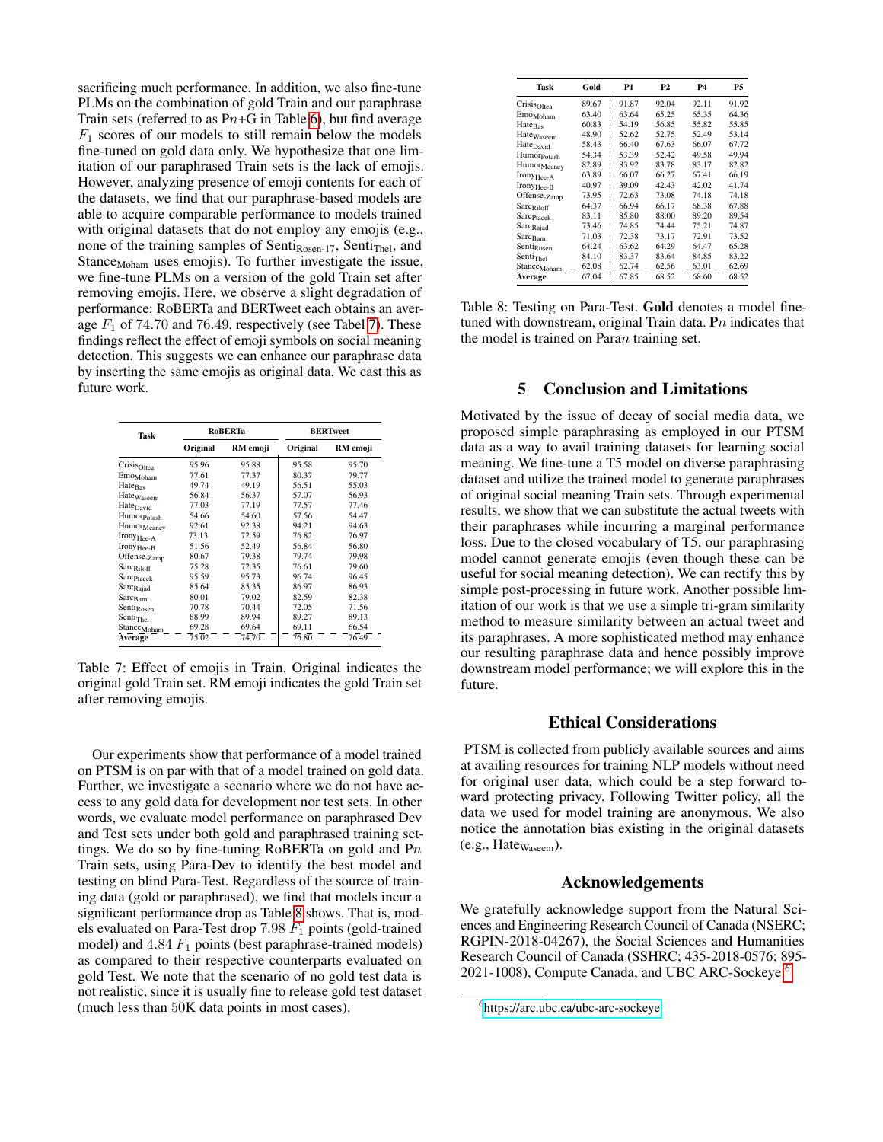sacrificing much performance. In addition, we also fine-tune PLMs on the combination of gold Train and our paraphrase Train sets (referred to as  $Pn+G$  in Table [6\)](#page-3-1), but find average  $F_1$  scores of our models to still remain below the models fine-tuned on gold data only. We hypothesize that one limitation of our paraphrased Train sets is the lack of emojis. However, analyzing presence of emoji contents for each of the datasets, we find that our paraphrase-based models are able to acquire comparable performance to models trained with original datasets that do not employ any emojis (e.g., none of the training samples of Senti $_{\text{Rosen-17}}$ , Senti $_{\text{Thel}}$ , and Stance<sub>Moham</sub> uses emojis). To further investigate the issue, we fine-tune PLMs on a version of the gold Train set after removing emojis. Here, we observe a slight degradation of performance: RoBERTa and BERTweet each obtains an average  $F_1$  of 74.70 and 76.49, respectively (see Tabel [7\)](#page-4-0). These findings reflect the effect of emoji symbols on social meaning detection. This suggests we can enhance our paraphrase data by inserting the same emojis as original data. We cast this as future work.

<span id="page-4-0"></span>

| Task                     |          | <b>RoBERTa</b> | <b>BERTweet</b> |          |  |  |
|--------------------------|----------|----------------|-----------------|----------|--|--|
|                          | Original | RM emoji       | Original        | RM emoji |  |  |
| Crisis <sub>Oltea</sub>  | 95.96    | 95.88          | 95.58           | 95.70    |  |  |
| Emo <sub>Moham</sub>     | 77.61    | 77.37          | 80.37           | 79.77    |  |  |
| Hate <sub>Bas</sub>      | 49.74    | 49.19          | 56.51           | 55.03    |  |  |
| Hate <sub>Waseem</sub>   | 56.84    | 56.37          | 57.07           | 56.93    |  |  |
| Hate <sub>David</sub>    | 77.03    | 77.19          | 77.57           | 77.46    |  |  |
| Humor <sub>Potash</sub>  | 54.66    | 54.60          | 57.56           | 54.47    |  |  |
| Humor <sub>Meaney</sub>  | 92.61    | 92.38          | 94.21           | 94.63    |  |  |
| Irony <sub>Hee-A</sub>   | 73.13    | 72.59          | 76.82           | 76.97    |  |  |
| Irony <sub>Hee-B</sub>   | 51.56    | 52.49          | 56.84           | 56.80    |  |  |
| Offense <sub>-Zamp</sub> | 80.67    | 79.38          | 79.74           | 79.98    |  |  |
| Sarc <sub>Riloff</sub>   | 75.28    | 72.35          | 76.61           | 79.60    |  |  |
| Sarc <sub>Ptacek</sub>   | 95.59    | 95.73          | 96.74           | 96.45    |  |  |
| Sarc <sub>Rajad</sub>    | 85.64    | 85.35          | 86.97           | 86.93    |  |  |
| Sarc <sub>Bam</sub>      | 80.01    | 79.02          | 82.59           | 82.38    |  |  |
| Senti <sub>Rosen</sub>   | 70.78    | 70.44          | 72.05           | 71.56    |  |  |
| Senti <sub>Thel</sub>    | 88.99    | 89.94          | 89.27           | 89.13    |  |  |
| Stance <sub>Moham</sub>  | 69.28    | 69.64          | 69.11           | 66.54    |  |  |
| Average                  | 75.02    | 74.70          | $\sqrt{76.80}$  | 76.49    |  |  |
|                          |          |                |                 |          |  |  |

Table 7: Effect of emojis in Train. Original indicates the original gold Train set. RM emoji indicates the gold Train set after removing emojis.

Our experiments show that performance of a model trained on PTSM is on par with that of a model trained on gold data. Further, we investigate a scenario where we do not have access to any gold data for development nor test sets. In other words, we evaluate model performance on paraphrased Dev and Test sets under both gold and paraphrased training settings. We do so by fine-tuning RoBERTa on gold and  $Pn$ Train sets, using Para-Dev to identify the best model and testing on blind Para-Test. Regardless of the source of training data (gold or paraphrased), we find that models incur a significant performance drop as Table [8](#page-4-1) shows. That is, models evaluated on Para-Test drop  $7.98 F_1$  points (gold-trained model) and  $4.84 \tF_1$  points (best paraphrase-trained models) as compared to their respective counterparts evaluated on gold Test. We note that the scenario of no gold test data is not realistic, since it is usually fine to release gold test dataset (much less than 50K data points in most cases).

<span id="page-4-1"></span>

| Task                     | Gold       | P1    | P2    | P4    | Р5    |
|--------------------------|------------|-------|-------|-------|-------|
| Crisis <sub>Oltea</sub>  | 89.67      | 91.87 | 92.04 | 92.11 | 91.92 |
| Emo <sub>Moham</sub>     | 63.40      | 63.64 | 65.25 | 65.35 | 64.36 |
| Hate <sub>Bas</sub>      | 60.83      | 54.19 | 56.85 | 55.82 | 55.85 |
| Hate <sub>Waseem</sub>   | 48.90      | 52.62 | 52.75 | 52.49 | 53.14 |
| Hate <sub>David</sub>    | 58.43      | 66.40 | 67.63 | 66.07 | 67.72 |
| Humor <sub>Potash</sub>  | 54.34<br>ı | 53.39 | 52.42 | 49.58 | 49.94 |
| Humor <sub>Meaney</sub>  | 82.89      | 83.92 | 83.78 | 83.17 | 82.82 |
| Irony <sub>Hee-A</sub>   | 63.89      | 66.07 | 66.27 | 67.41 | 66.19 |
| Irony <sub>Hee-B</sub>   | 40.97      | 39.09 | 42.43 | 42.02 | 41.74 |
| Offense <sub>-Zamp</sub> | 73.95      | 72.63 | 73.08 | 74.18 | 74.18 |
| Sarc <sub>Riloff</sub>   | 64.37      | 66.94 | 66.17 | 68.38 | 67.88 |
| Sarc <sub>Ptacek</sub>   | ı<br>83.11 | 85.80 | 88.00 | 89.20 | 89.54 |
| Sarc <sub>Rajad</sub>    | 73.46<br>ı | 74.85 | 74.44 | 75.21 | 74.87 |
| Sarc <sub>Bam</sub>      | 71.03      | 72.38 | 73.17 | 72.91 | 73.52 |
| Senti <sub>Rosen</sub>   | 64.24      | 63.62 | 64.29 | 64.47 | 65.28 |
| Senti <sub>Thel</sub>    | 84.10      | 83.37 | 83.64 | 84.85 | 83.22 |
| Stance <sub>Moham</sub>  | 62.08      | 62.74 | 62.56 | 63.01 | 62.69 |
| Average                  | 67.04<br>Ť | 67.85 | 68.52 | 68.60 | 68.52 |
|                          |            |       |       |       |       |

Table 8: Testing on Para-Test. Gold denotes a model finetuned with downstream, original Train data.  $\mathbf{P}n$  indicates that the model is trained on Paran training set.

# 5 Conclusion and Limitations

Motivated by the issue of decay of social media data, we proposed simple paraphrasing as employed in our PTSM data as a way to avail training datasets for learning social meaning. We fine-tune a T5 model on diverse paraphrasing dataset and utilize the trained model to generate paraphrases of original social meaning Train sets. Through experimental results, we show that we can substitute the actual tweets with their paraphrases while incurring a marginal performance loss. Due to the closed vocabulary of T5, our paraphrasing model cannot generate emojis (even though these can be useful for social meaning detection). We can rectify this by simple post-processing in future work. Another possible limitation of our work is that we use a simple tri-gram similarity method to measure similarity between an actual tweet and its paraphrases. A more sophisticated method may enhance our resulting paraphrase data and hence possibly improve downstream model performance; we will explore this in the future.

#### Ethical Considerations

PTSM is collected from publicly available sources and aims at availing resources for training NLP models without need for original user data, which could be a step forward toward protecting privacy. Following Twitter policy, all the data we used for model training are anonymous. We also notice the annotation bias existing in the original datasets  $(e.g., Hate_{Waseem}).$ 

### Acknowledgements

We gratefully acknowledge support from the Natural Sciences and Engineering Research Council of Canada (NSERC; RGPIN-2018-04267), the Social Sciences and Humanities Research Council of Canada (SSHRC; 435-2018-0576; 895- 2021-1008), Compute Canada, and UBC ARC-Sockeye.<sup>[6](#page-4-2)</sup>

<span id="page-4-2"></span><sup>6</sup> <https://arc.ubc.ca/ubc-arc-sockeye>